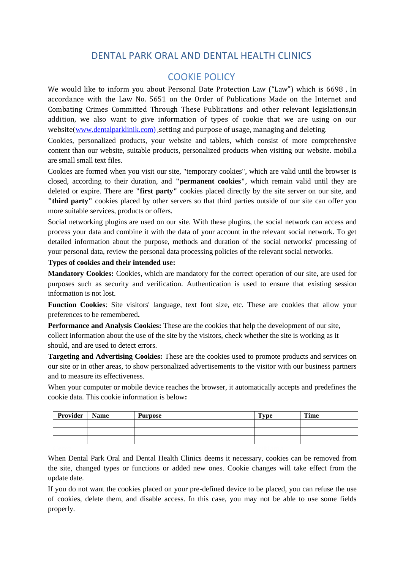# DENTAL PARK ORAL AND DENTAL HEALTH CLINICS

## COOKIE POLICY

We would like to inform you about Personal Date Protection Law ("Law") which is 6698 , In accordance with the Law No. 5651 on the Order of Publications Made on the Internet and Combating Crimes Committed Through These Publications and other relevant legislations,in addition, we also want to give information of types of cookie that we are using on our website(www.dentalparklinik.com), setting and purpose of usage, managing and deleting.

Cookies, personalized products, your website and tablets, which consist of more comprehensive content than our website, suitable products, personalized products when visiting our website. mobil.a are small small text files.

Cookies are formed when you visit our site, "temporary cookies", which are valid until the browser is closed, according to their duration, and **"permanent cookies"**, which remain valid until they are deleted or expire. There are **"first party"** cookies placed directly by the site server on our site, and **"third party"** cookies placed by other servers so that third parties outside of our site can offer you more suitable services, products or offers.

Social networking plugins are used on our site. With these plugins, the social network can access and process your data and combine it with the data of your account in the relevant social network. To get detailed information about the purpose, methods and duration of the social networks' processing of your personal data, review the personal data processing policies of the relevant social networks.

## **Types of cookies and their intended use:**

**Mandatory Cookies:** Cookies, which are mandatory for the correct operation of our site, are used for purposes such as security and verification. Authentication is used to ensure that existing session information is not lost.

**Function Cookies**: Site visitors' language, text font size, etc. These are cookies that allow your preferences to be remembered**.**

**Performance and Analysis Cookies:** These are the cookies that help the development of our site, collect information about the use of the site by the visitors, check whether the site is working as it should, and are used to detect errors.

**Targeting and Advertising Cookies:** These are the cookies used to promote products and services on our site or in other areas, to show personalized advertisements to the visitor with our business partners and to measure its effectiveness.

When your computer or mobile device reaches the browser, it automatically accepts and predefines the cookie data. This cookie information is below**:**

| Provider | <b>Name</b> | <b>Purpose</b> | $T$ <sub>V</sub> pe | Time |
|----------|-------------|----------------|---------------------|------|
|          |             |                |                     |      |
|          |             |                |                     |      |
|          |             |                |                     |      |

When Dental Park Oral and Dental Health Clinics deems it necessary, cookies can be removed from the site, changed types or functions or added new ones. Cookie changes will take effect from the update date.

If you do not want the cookies placed on your pre-defined device to be placed, you can refuse the use of cookies, delete them, and disable access. In this case, you may not be able to use some fields properly.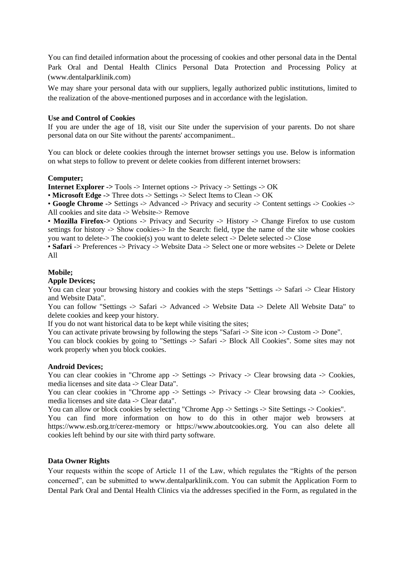You can find detailed information about the processing of cookies and other personal data in the Dental Park Oral and Dental Health Clinics Personal Data Protection and Processing Policy at (www.dentalparklinik.com)

We may share your personal data with our suppliers, legally authorized public institutions, limited to the realization of the above-mentioned purposes and in accordance with the legislation.

### **Use and Control of Cookies**

If you are under the age of 18, visit our Site under the supervision of your parents. Do not share personal data on our Site without the parents' accompaniment..

You can block or delete cookies through the internet browser settings you use. Below is information on what steps to follow to prevent or delete cookies from different internet browsers:

#### **Computer;**

**Internet Explorer ->** Tools -> Internet options -> Privacy -> Settings -> OK

• **Microsoft Edge ->** Three dots -> Settings -> Select Items to Clean -> OK

• **Google Chrome ->** Settings -> Advanced -> Privacy and security -> Content settings -> Cookies -> All cookies and site data -> Website-> Remove

• **Mozilla Firefox->** Options -> Privacy and Security -> History -> Change Firefox to use custom settings for history -> Show cookies-> In the Search: field, type the name of the site whose cookies you want to delete-> The cookie(s) you want to delete select -> Delete selected -> Close

• **Safari** -> Preferences -> Privacy -> Website Data -> Select one or more websites -> Delete or Delete All

### **Mobile;**

#### **Apple Devices;**

You can clear your browsing history and cookies with the steps "Settings  $\rightarrow$  Safari  $\rightarrow$  Clear History and Website Data".

You can follow "Settings -> Safari -> Advanced -> Website Data -> Delete All Website Data" to delete cookies and keep your history.

If you do not want historical data to be kept while visiting the sites;

You can activate private browsing by following the steps "Safari -> Site icon -> Custom -> Done".

You can block cookies by going to "Settings -> Safari -> Block All Cookies". Some sites may not work properly when you block cookies.

#### **Android Devices;**

You can clear cookies in "Chrome app -> Settings -> Privacy -> Clear browsing data -> Cookies, media licenses and site data -> Clear Data".

You can clear cookies in "Chrome app -> Settings -> Privacy -> Clear browsing data -> Cookies, media licenses and site data -> Clear data".

You can allow or block cookies by selecting "Chrome App -> Settings -> Site Settings -> Cookies".

You can find more information on how to do this in other major web browsers at https://www.esb.org.tr/cerez-memory or https://www.aboutcookies.org. You can also delete all cookies left behind by our site with third party software.

## **Data Owner Rights**

Your requests within the scope of Article 11 of the Law, which regulates the "Rights of the person concerned", can be submitted to www.dentalparklinik.com. You can submit the Application Form to Dental Park Oral and Dental Health Clinics via the addresses specified in the Form, as regulated in the